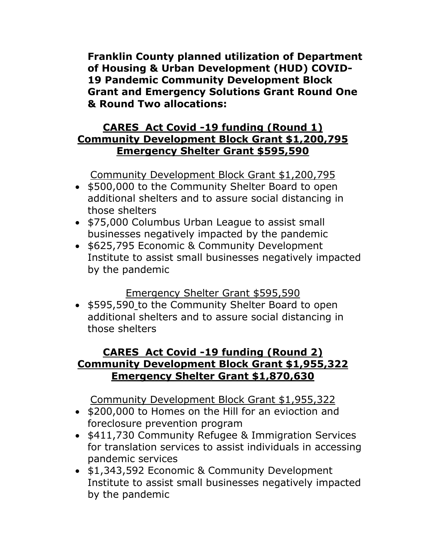**Franklin County planned utilization of Department of Housing & Urban Development (HUD) COVID-19 Pandemic Community Development Block Grant and Emergency Solutions Grant Round One & Round Two allocations:**

## **CARES Act Covid -19 funding (Round 1) Community Development Block Grant \$1,200,795 Emergency Shelter Grant \$595,590**

Community Development Block Grant \$1,200,795

- \$500,000 to the Community Shelter Board to open additional shelters and to assure social distancing in those shelters
- \$75,000 Columbus Urban League to assist small businesses negatively impacted by the pandemic
- \$625,795 Economic & Community Development Institute to assist small businesses negatively impacted by the pandemic

## Emergency Shelter Grant \$595,590

• \$595,590 to the Community Shelter Board to open additional shelters and to assure social distancing in those shelters

## **CARES Act Covid -19 funding (Round 2) Community Development Block Grant \$1,955,322 Emergency Shelter Grant \$1,870,630**

Community Development Block Grant \$1,955,322

- \$200,000 to Homes on the Hill for an evioction and foreclosure prevention program
- \$411,730 Community Refugee & Immigration Services for translation services to assist individuals in accessing pandemic services
- \$1,343,592 Economic & Community Development Institute to assist small businesses negatively impacted by the pandemic